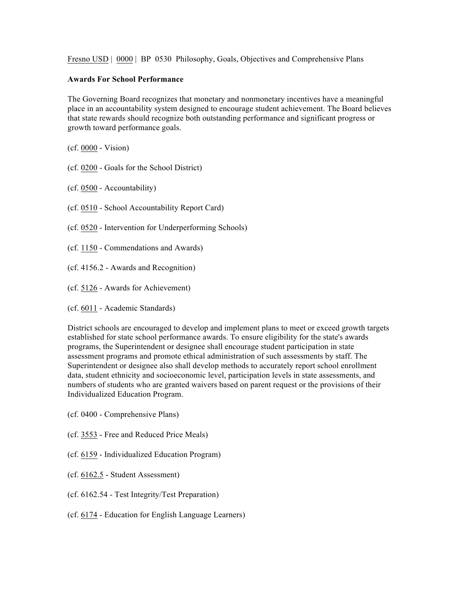Fresno USD | 0000 | BP 0530 Philosophy, Goals, Objectives and Comprehensive Plans

## **Awards For School Performance**

The Governing Board recognizes that monetary and nonmonetary incentives have a meaningful place in an accountability system designed to encourage student achievement. The Board believes that state rewards should recognize both outstanding performance and significant progress or growth toward performance goals.

(cf. 0000 - Vision)

- (cf. 0200 Goals for the School District)
- (cf. 0500 Accountability)
- (cf. 0510 School Accountability Report Card)
- (cf. 0520 Intervention for Underperforming Schools)
- (cf. 1150 Commendations and Awards)
- (cf. 4156.2 Awards and Recognition)
- (cf. 5126 Awards for Achievement)
- (cf. 6011 Academic Standards)

District schools are encouraged to develop and implement plans to meet or exceed growth targets established for state school performance awards. To ensure eligibility for the state's awards programs, the Superintendent or designee shall encourage student participation in state assessment programs and promote ethical administration of such assessments by staff. The Superintendent or designee also shall develop methods to accurately report school enrollment data, student ethnicity and socioeconomic level, participation levels in state assessments, and numbers of students who are granted waivers based on parent request or the provisions of their Individualized Education Program.

- (cf. 0400 Comprehensive Plans)
- (cf. 3553 Free and Reduced Price Meals)
- (cf. 6159 Individualized Education Program)
- (cf. 6162.5 Student Assessment)
- (cf. 6162.54 Test Integrity/Test Preparation)
- (cf. 6174 Education for English Language Learners)